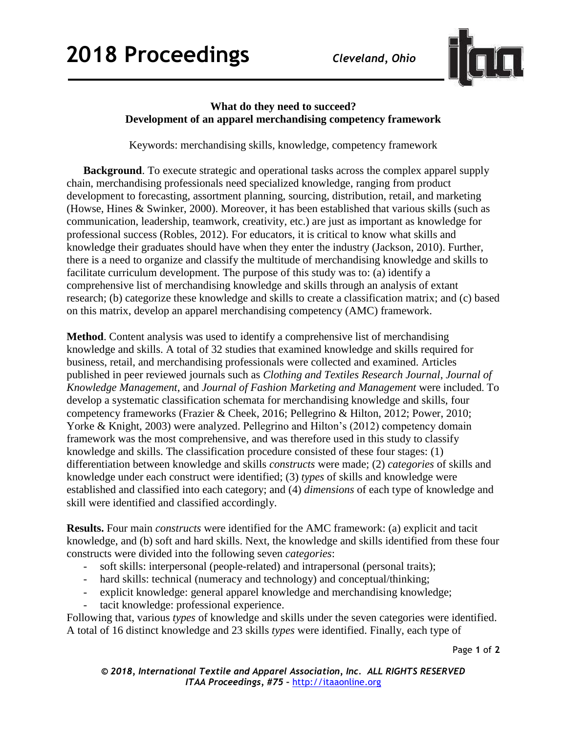

## **What do they need to succeed? Development of an apparel merchandising competency framework**

Keywords: merchandising skills, knowledge, competency framework

**Background**. To execute strategic and operational tasks across the complex apparel supply chain, merchandising professionals need specialized knowledge, ranging from product development to forecasting, assortment planning, sourcing, distribution, retail, and marketing (Howse, Hines & Swinker, 2000). Moreover, it has been established that various skills (such as communication, leadership, teamwork, creativity, etc.) are just as important as knowledge for professional success (Robles, 2012). For educators, it is critical to know what skills and knowledge their graduates should have when they enter the industry (Jackson, 2010). Further, there is a need to organize and classify the multitude of merchandising knowledge and skills to facilitate curriculum development. The purpose of this study was to: (a) identify a comprehensive list of merchandising knowledge and skills through an analysis of extant research; (b) categorize these knowledge and skills to create a classification matrix; and (c) based on this matrix, develop an apparel merchandising competency (AMC) framework.

**Method**. Content analysis was used to identify a comprehensive list of merchandising knowledge and skills. A total of 32 studies that examined knowledge and skills required for business, retail, and merchandising professionals were collected and examined. Articles published in peer reviewed journals such as *Clothing and Textiles Research Journal*, *Journal of Knowledge Management*, and *Journal of Fashion Marketing and Management* were included. To develop a systematic classification schemata for merchandising knowledge and skills, four competency frameworks (Frazier & Cheek, 2016; Pellegrino & Hilton, 2012; Power, 2010; Yorke & Knight, 2003) were analyzed. Pellegrino and Hilton's (2012) competency domain framework was the most comprehensive, and was therefore used in this study to classify knowledge and skills. The classification procedure consisted of these four stages: (1) differentiation between knowledge and skills *constructs* were made; (2) *categories* of skills and knowledge under each construct were identified; (3) *types* of skills and knowledge were established and classified into each category; and (4) *dimensions* of each type of knowledge and skill were identified and classified accordingly.

**Results.** Four main *constructs* were identified for the AMC framework: (a) explicit and tacit knowledge, and (b) soft and hard skills. Next, the knowledge and skills identified from these four constructs were divided into the following seven *categories*:

- soft skills: interpersonal (people-related) and intrapersonal (personal traits);
- hard skills: technical (numeracy and technology) and conceptual/thinking;
- explicit knowledge: general apparel knowledge and merchandising knowledge;
- tacit knowledge: professional experience.

Following that, various *types* of knowledge and skills under the seven categories were identified. A total of 16 distinct knowledge and 23 skills *types* were identified. Finally, each type of

Page **1** of **2**